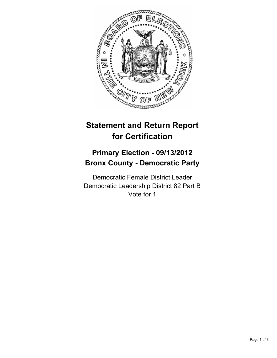

## **Statement and Return Report for Certification**

## **Primary Election - 09/13/2012 Bronx County - Democratic Party**

Democratic Female District Leader Democratic Leadership District 82 Part B Vote for 1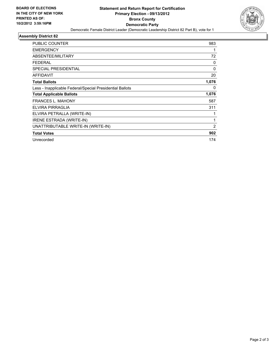

## **Assembly District 82**

| <b>PUBLIC COUNTER</b>                                    | 983            |
|----------------------------------------------------------|----------------|
| <b>EMERGENCY</b>                                         |                |
| ABSENTEE/MILITARY                                        | 72             |
| <b>FEDERAL</b>                                           | 0              |
| <b>SPECIAL PRESIDENTIAL</b>                              | 0              |
| <b>AFFIDAVIT</b>                                         | 20             |
| <b>Total Ballots</b>                                     | 1,076          |
| Less - Inapplicable Federal/Special Presidential Ballots | 0              |
| <b>Total Applicable Ballots</b>                          | 1,076          |
| FRANCES L. MAHONY                                        | 587            |
| ELVIRA PIRRAGLIA                                         | 311            |
| ELVIRA PETRALLA (WRITE-IN)                               |                |
| <b>IRENE ESTRADA (WRITE-IN)</b>                          | 1              |
| UNATTRIBUTABLE WRITE-IN (WRITE-IN)                       | $\overline{2}$ |
| <b>Total Votes</b>                                       | 902            |
| Unrecorded                                               | 174            |